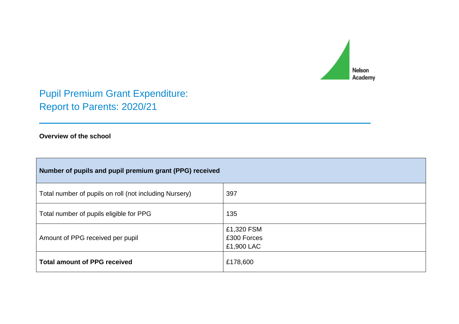

Pupil Premium Grant Expenditure: Report to Parents: 2020/21

## **Overview of the school**

| Number of pupils and pupil premium grant (PPG) received |                                         |  |  |  |  |
|---------------------------------------------------------|-----------------------------------------|--|--|--|--|
| Total number of pupils on roll (not including Nursery)  | 397                                     |  |  |  |  |
| Total number of pupils eligible for PPG                 | 135                                     |  |  |  |  |
| Amount of PPG received per pupil                        | £1,320 FSM<br>£300 Forces<br>£1,900 LAC |  |  |  |  |
| <b>Total amount of PPG received</b>                     | £178,600                                |  |  |  |  |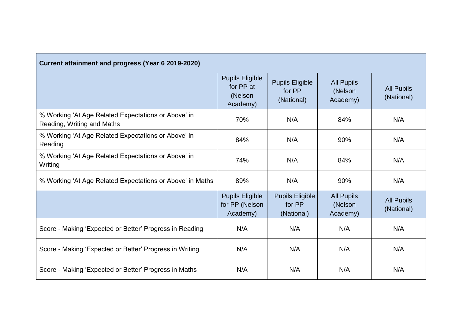| Current attainment and progress (Year 6 2019-2020)                                |                                                            |                                                |                                          |                                 |  |  |  |
|-----------------------------------------------------------------------------------|------------------------------------------------------------|------------------------------------------------|------------------------------------------|---------------------------------|--|--|--|
|                                                                                   | <b>Pupils Eligible</b><br>for PP at<br>(Nelson<br>Academy) | <b>Pupils Eligible</b><br>for PP<br>(National) | <b>All Pupils</b><br>(Nelson<br>Academy) | <b>All Pupils</b><br>(National) |  |  |  |
| % Working 'At Age Related Expectations or Above' in<br>Reading, Writing and Maths | 70%                                                        | N/A                                            | 84%                                      | N/A                             |  |  |  |
| % Working 'At Age Related Expectations or Above' in<br>Reading                    | 84%                                                        | N/A                                            | 90%                                      | N/A                             |  |  |  |
| % Working 'At Age Related Expectations or Above' in<br>Writing                    | 74%                                                        | N/A                                            | 84%                                      | N/A                             |  |  |  |
| % Working 'At Age Related Expectations or Above' in Maths                         | 89%                                                        | N/A                                            | 90%                                      | N/A                             |  |  |  |
|                                                                                   | <b>Pupils Eligible</b><br>for PP (Nelson<br>Academy)       | <b>Pupils Eligible</b><br>for PP<br>(National) | <b>All Pupils</b><br>(Nelson<br>Academy) | <b>All Pupils</b><br>(National) |  |  |  |
| Score - Making 'Expected or Better' Progress in Reading                           | N/A                                                        | N/A                                            | N/A                                      | N/A                             |  |  |  |
| Score - Making 'Expected or Better' Progress in Writing                           | N/A                                                        | N/A                                            | N/A                                      | N/A                             |  |  |  |
| Score - Making 'Expected or Better' Progress in Maths                             | N/A                                                        | N/A                                            | N/A                                      | N/A                             |  |  |  |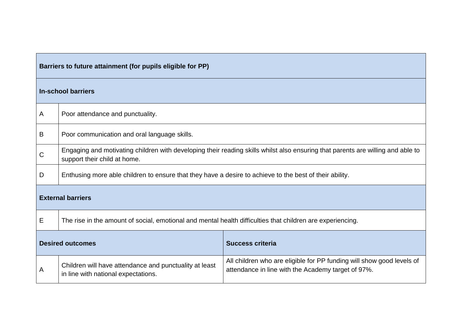|   | Barriers to future attainment (for pupils eligible for PP)                                                                                                                                                                   |  |  |  |  |  |
|---|------------------------------------------------------------------------------------------------------------------------------------------------------------------------------------------------------------------------------|--|--|--|--|--|
|   | <b>In-school barriers</b>                                                                                                                                                                                                    |  |  |  |  |  |
| Α | Poor attendance and punctuality.                                                                                                                                                                                             |  |  |  |  |  |
| B | Poor communication and oral language skills.                                                                                                                                                                                 |  |  |  |  |  |
| C | Engaging and motivating children with developing their reading skills whilst also ensuring that parents are willing and able to<br>support their child at home.                                                              |  |  |  |  |  |
| D | Enthusing more able children to ensure that they have a desire to achieve to the best of their ability.                                                                                                                      |  |  |  |  |  |
|   | <b>External barriers</b>                                                                                                                                                                                                     |  |  |  |  |  |
| Е | The rise in the amount of social, emotional and mental health difficulties that children are experiencing.                                                                                                                   |  |  |  |  |  |
|   | <b>Desired outcomes</b><br><b>Success criteria</b>                                                                                                                                                                           |  |  |  |  |  |
| Α | All children who are eligible for PP funding will show good levels of<br>Children will have attendance and punctuality at least<br>attendance in line with the Academy target of 97%.<br>in line with national expectations. |  |  |  |  |  |

<u> 1989 - Andrea Stadt Britain, amerikansk politik (</u>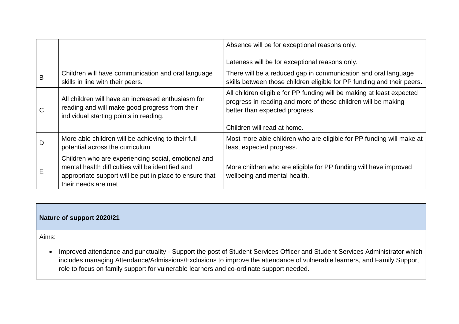|              |                                                                                                                                                                                            | Absence will be for exceptional reasons only.                                                                                                                            |
|--------------|--------------------------------------------------------------------------------------------------------------------------------------------------------------------------------------------|--------------------------------------------------------------------------------------------------------------------------------------------------------------------------|
|              |                                                                                                                                                                                            | Lateness will be for exceptional reasons only.                                                                                                                           |
| в            | Children will have communication and oral language<br>skills in line with their peers.                                                                                                     | There will be a reduced gap in communication and oral language<br>skills between those children eligible for PP funding and their peers.                                 |
| $\mathsf{C}$ | All children will have an increased enthusiasm for<br>reading and will make good progress from their<br>individual starting points in reading.                                             | All children eligible for PP funding will be making at least expected<br>progress in reading and more of these children will be making<br>better than expected progress. |
|              |                                                                                                                                                                                            | Children will read at home.                                                                                                                                              |
| D            | More able children will be achieving to their full<br>potential across the curriculum                                                                                                      | Most more able children who are eligible for PP funding will make at<br>least expected progress.                                                                         |
| Е            | Children who are experiencing social, emotional and<br>mental health difficulties will be identified and<br>appropriate support will be put in place to ensure that<br>their needs are met | More children who are eligible for PP funding will have improved<br>wellbeing and mental health.                                                                         |

## **Nature of support 2020/21**

Aims:

• Improved attendance and punctuality - Support the post of Student Services Officer and Student Services Administrator which includes managing Attendance/Admissions/Exclusions to improve the attendance of vulnerable learners, and Family Support role to focus on family support for vulnerable learners and co-ordinate support needed.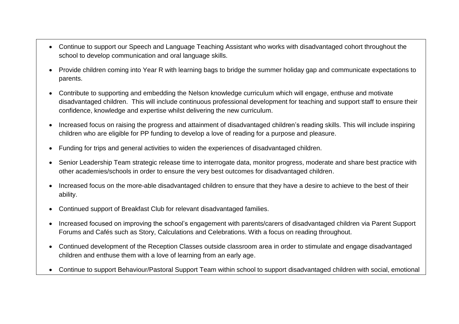- Continue to support our Speech and Language Teaching Assistant who works with disadvantaged cohort throughout the school to develop communication and oral language skills.
- Provide children coming into Year R with learning bags to bridge the summer holiday gap and communicate expectations to parents.
- Contribute to supporting and embedding the Nelson knowledge curriculum which will engage, enthuse and motivate disadvantaged children. This will include continuous professional development for teaching and support staff to ensure their confidence, knowledge and expertise whilst delivering the new curriculum.
- Increased focus on raising the progress and attainment of disadvantaged children's reading skills. This will include inspiring children who are eligible for PP funding to develop a love of reading for a purpose and pleasure.
- Funding for trips and general activities to widen the experiences of disadvantaged children.
- Senior Leadership Team strategic release time to interrogate data, monitor progress, moderate and share best practice with other academies/schools in order to ensure the very best outcomes for disadvantaged children.
- Increased focus on the more-able disadvantaged children to ensure that they have a desire to achieve to the best of their ability.
- Continued support of Breakfast Club for relevant disadvantaged families.
- Increased focused on improving the school's engagement with parents/carers of disadvantaged children via Parent Support Forums and Cafés such as Story, Calculations and Celebrations. With a focus on reading throughout.
- Continued development of the Reception Classes outside classroom area in order to stimulate and engage disadvantaged children and enthuse them with a love of learning from an early age.
- Continue to support Behaviour/Pastoral Support Team within school to support disadvantaged children with social, emotional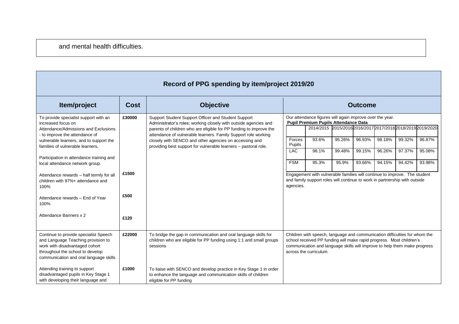| <b>INCOULD LET OF SPEIRING BY REIDEN OF LET 2013/20</b>                                                                                                                                     |             |                                                                                                                                                                                               |                  |                                                                                                                                                                                                                                                           |                                                             |                |        |        |        |
|---------------------------------------------------------------------------------------------------------------------------------------------------------------------------------------------|-------------|-----------------------------------------------------------------------------------------------------------------------------------------------------------------------------------------------|------------------|-----------------------------------------------------------------------------------------------------------------------------------------------------------------------------------------------------------------------------------------------------------|-------------------------------------------------------------|----------------|--------|--------|--------|
| Item/project                                                                                                                                                                                | <b>Cost</b> | <b>Objective</b>                                                                                                                                                                              |                  |                                                                                                                                                                                                                                                           |                                                             | <b>Outcome</b> |        |        |        |
| To provide specialist support with an<br>increased focus on<br>Attendance/Admissions and Exclusions                                                                                         | £30000      | Support Student Support Officer and Student Support<br>Administrator's roles; working closely with outside agencies and<br>parents of children who are eligible for PP funding to improve the |                  | Our attendance figures will again improve over the year.<br><b>Pupil Premium Pupils Attendance Data</b>                                                                                                                                                   | 2014/2015 2015/2016 2016/2017 2017/2018 2018/2019 2019/2020 |                |        |        |        |
| - to improve the attendance of<br>vulnerable learners, and to support the                                                                                                                   |             | attendance of vulnerable learners. Family Support role working<br>closely with SENCO and other agencies on accessing and                                                                      | Forces<br>Pupils | 93.6%                                                                                                                                                                                                                                                     | 95.26%                                                      | 96.93%         | 98.18% | 99.32% | 96.87% |
| families of vulnerable learners,<br>Participation in attendance training and                                                                                                                |             | providing best support for vulnerable learners - pastoral role.                                                                                                                               | <b>LAC</b>       | 98.1%                                                                                                                                                                                                                                                     | 99.48%                                                      | 99.15%         | 96.26% | 97.37% | 95.08% |
| local attendance network group.<br>Attendance rewards - half termly for all                                                                                                                 | £1500       |                                                                                                                                                                                               | <b>FSM</b>       | 95.3%<br>Engagement with vulnerable families will continue to improve. The student                                                                                                                                                                        | 95.9%                                                       | 93.66%         | 94.15% | 94.42% | 93.98% |
| children with 97%+ attendance and<br>100%                                                                                                                                                   |             |                                                                                                                                                                                               | agencies.        | and family support roles will continue to work in partnership with outside                                                                                                                                                                                |                                                             |                |        |        |        |
| Attendance rewards - End of Year<br>100%                                                                                                                                                    | £500        |                                                                                                                                                                                               |                  |                                                                                                                                                                                                                                                           |                                                             |                |        |        |        |
| Attendance Banners x 2                                                                                                                                                                      | £120        |                                                                                                                                                                                               |                  |                                                                                                                                                                                                                                                           |                                                             |                |        |        |        |
| Continue to provide specialist Speech<br>and Language Teaching provision to<br>work with disadvantaged cohort<br>throughout the school to develop<br>communication and oral language skills | £22000      | To bridge the gap in communication and oral language skills for<br>children who are eligible for PP funding using 1:1 and small groups<br>sessions                                            |                  | Children with speech, language and communication difficulties for whom the<br>school received PP funding will make rapid progress. Most children's<br>communication and language skills will improve to help them make progress<br>across the curriculum. |                                                             |                |        |        |        |
| Attending training to support<br>disadvantaged pupils in Key Stage 1<br>with developing their language and                                                                                  | £1000       | To liaise with SENCO and develop practice in Key Stage 1 in order<br>to enhance the language and communication skills of children<br>eligible for PP funding                                  |                  |                                                                                                                                                                                                                                                           |                                                             |                |        |        |        |

## **Record of PPG spending by item/project 2019/20**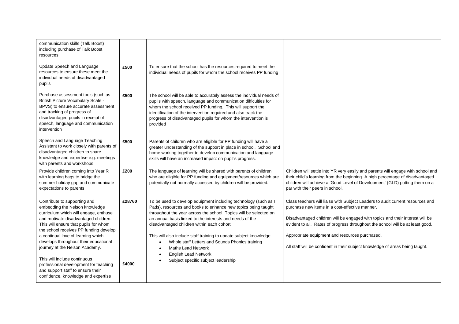| communication skills (Talk Boost)<br>including purchase of Talk Boost<br>resources                                                                                                                                                                                                                                                                                                                                           |                 |                                                                                                                                                                                                                                                                                                                                                                                                                                                                                                                                                                                   |                                                                                                                                                                                                                                                                                                                                                                                                                                        |
|------------------------------------------------------------------------------------------------------------------------------------------------------------------------------------------------------------------------------------------------------------------------------------------------------------------------------------------------------------------------------------------------------------------------------|-----------------|-----------------------------------------------------------------------------------------------------------------------------------------------------------------------------------------------------------------------------------------------------------------------------------------------------------------------------------------------------------------------------------------------------------------------------------------------------------------------------------------------------------------------------------------------------------------------------------|----------------------------------------------------------------------------------------------------------------------------------------------------------------------------------------------------------------------------------------------------------------------------------------------------------------------------------------------------------------------------------------------------------------------------------------|
| Update Speech and Language<br>resources to ensure these meet the<br>individual needs of disadvantaged<br>pupils                                                                                                                                                                                                                                                                                                              | £500            | To ensure that the school has the resources required to meet the<br>individual needs of pupils for whom the school receives PP funding                                                                                                                                                                                                                                                                                                                                                                                                                                            |                                                                                                                                                                                                                                                                                                                                                                                                                                        |
| Purchase assessment tools (such as<br>British Picture Vocabulary Scale -<br>BPVS) to ensure accurate assessment<br>and tracking of progress of<br>disadvantaged pupils in receipt of<br>speech, language and communication<br>intervention                                                                                                                                                                                   | £500            | The school will be able to accurately assess the individual needs of<br>pupils with speech, language and communication difficulties for<br>whom the school received PP funding. This will support the<br>identification of the intervention required and also track the<br>progress of disadvantaged pupils for whom the intervention is<br>provided                                                                                                                                                                                                                              |                                                                                                                                                                                                                                                                                                                                                                                                                                        |
| Speech and Language Teaching<br>Assistant to work closely with parents of<br>disadvantaged children to share<br>knowledge and expertise e.g. meetings<br>with parents and workshops                                                                                                                                                                                                                                          | £500            | Parents of children who are eligible for PP funding will have a<br>greater understanding of the support in place in school. School and<br>home working together to develop communication and language<br>skills will have an increased impact on pupil's progress.                                                                                                                                                                                                                                                                                                                |                                                                                                                                                                                                                                                                                                                                                                                                                                        |
| Provide children coming into Year R<br>with learning bags to bridge the<br>summer holiday gap and communicate<br>expectations to parents                                                                                                                                                                                                                                                                                     | £200            | The language of learning will be shared with parents of children<br>who are eligible for PP funding and equipment/resources which are<br>potentially not normally accessed by children will be provided.                                                                                                                                                                                                                                                                                                                                                                          | Children will settle into YR very easily and parents will engage with school and<br>their child's learning from the beginning. A high percentage of disadvantaged<br>children will achieve a 'Good Level of Development' (GLD) putting them on a<br>par with their peers in school.                                                                                                                                                    |
| Contribute to supporting and<br>embedding the Nelson knowledge<br>curriculum which will engage, enthuse<br>and motivate disadvantaged children.<br>This will ensure that pupils for whom<br>the school receives PP funding develop<br>a continual love of learning which<br>develops throughout their educational<br>journey at the Nelson Academy.<br>This will include continuous<br>professional development for teaching | £28760<br>£4000 | To be used to develop equipment including technology (such as I<br>Pads), resources and books to enhance new topics being taught<br>throughout the year across the school. Topics will be selected on<br>an annual basis linked to the interests and needs of the<br>disadvantaged children within each cohort.<br>This will also include staff training to update subject knowledge<br>Whole staff Letters and Sounds Phonics training<br>$\bullet$<br><b>Maths Lead Network</b><br>$\bullet$<br><b>English Lead Network</b><br>$\bullet$<br>Subject specific subject leadership | Class teachers will liaise with Subject Leaders to audit current resources and<br>purchase new items in a cost-effective manner.<br>Disadvantaged children will be engaged with topics and their interest will be<br>evident to all. Rates of progress throughout the school will be at least good.<br>Appropriate equipment and resources purchased.<br>All staff will be confident in their subject knowledge of areas being taught. |
| and support staff to ensure their<br>confidence, knowledge and expertise                                                                                                                                                                                                                                                                                                                                                     |                 |                                                                                                                                                                                                                                                                                                                                                                                                                                                                                                                                                                                   |                                                                                                                                                                                                                                                                                                                                                                                                                                        |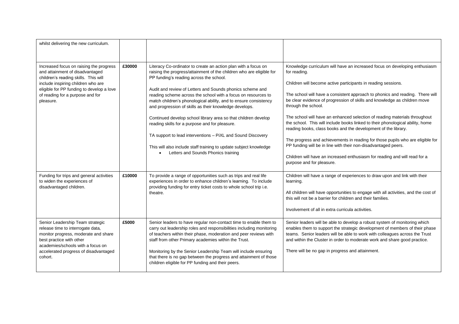| whilst delivering the new curriculum.                                                                                                                                                                                                                  |        |                                                                                                                                                                                                                                                                                                                                                                                                                                                                                                                                                                                                                                                                                                                                                           |                                                                                                                                                                                                                                                                                                                                                                                                                                                                                                                                                                                                                                                                                                                                                                                                                                                   |
|--------------------------------------------------------------------------------------------------------------------------------------------------------------------------------------------------------------------------------------------------------|--------|-----------------------------------------------------------------------------------------------------------------------------------------------------------------------------------------------------------------------------------------------------------------------------------------------------------------------------------------------------------------------------------------------------------------------------------------------------------------------------------------------------------------------------------------------------------------------------------------------------------------------------------------------------------------------------------------------------------------------------------------------------------|---------------------------------------------------------------------------------------------------------------------------------------------------------------------------------------------------------------------------------------------------------------------------------------------------------------------------------------------------------------------------------------------------------------------------------------------------------------------------------------------------------------------------------------------------------------------------------------------------------------------------------------------------------------------------------------------------------------------------------------------------------------------------------------------------------------------------------------------------|
| Increased focus on raising the progress<br>and attainment of disadvantaged<br>children's reading skills. This will<br>include inspiring children who are<br>eligible for PP funding to develop a love<br>of reading for a purpose and for<br>pleasure. | £30000 | Literacy Co-ordinator to create an action plan with a focus on<br>raising the progress/attainment of the children who are eligible for<br>PP funding's reading across the school.<br>Audit and review of Letters and Sounds phonics scheme and<br>reading scheme across the school with a focus on resources to<br>match children's phonological ability, and to ensure consistency<br>and progression of skills as their knowledge develops.<br>Continued develop school library area so that children develop<br>reading skills for a purpose and for pleasure.<br>TA support to lead interventions - PiXL and Sound Discovery<br>This will also include staff training to update subject knowledge<br>Letters and Sounds Phonics training<br>$\bullet$ | Knowledge curriculum will have an increased focus on developing enthusiasm<br>for reading.<br>Children will become active participants in reading sessions.<br>The school will have a consistent approach to phonics and reading. There will<br>be clear evidence of progression of skills and knowledge as children move<br>through the school.<br>The school will have an enhanced selection of reading materials throughout<br>the school. This will include books linked to their phonological ability, home<br>reading books, class books and the development of the library.<br>The progress and achievements in reading for those pupils who are eligible for<br>PP funding will be in line with their non-disadvantaged peers.<br>Children will have an increased enthusiasm for reading and will read for a<br>purpose and for pleasure. |
| Funding for trips and general activities<br>to widen the experiences of<br>disadvantaged children.                                                                                                                                                     | £10000 | To provide a range of opportunities such as trips and real life<br>experiences in order to enhance children's learning. To include<br>providing funding for entry ticket costs to whole school trip i.e.<br>theatre.                                                                                                                                                                                                                                                                                                                                                                                                                                                                                                                                      | Children will have a range of experiences to draw upon and link with their<br>learning.<br>All children will have opportunities to engage with all activities, and the cost of<br>this will not be a barrier for children and their families.<br>Involvement of all in extra curricula activities.                                                                                                                                                                                                                                                                                                                                                                                                                                                                                                                                                |
| Senior Leadership Team strategic<br>release time to interrogate data,<br>monitor progress, moderate and share<br>best practice with other<br>academies/schools with a focus on<br>accelerated progress of disadvantaged<br>cohort.                     | £5000  | Senior leaders to have regular non-contact time to enable them to<br>carry out leadership roles and responsibilities including monitoring<br>of teachers within their phase, moderation and peer reviews with<br>staff from other Primary academies within the Trust.<br>Monitoring by the Senior Leadership Team will include ensuring<br>that there is no gap between the progress and attainment of those<br>children eligible for PP funding and their peers.                                                                                                                                                                                                                                                                                         | Senior leaders will be able to develop a robust system of monitoring which<br>enables them to support the strategic development of members of their phase<br>teams. Senior leaders will be able to work with colleagues across the Trust<br>and within the Cluster in order to moderate work and share good practice.<br>There will be no gap in progress and attainment.                                                                                                                                                                                                                                                                                                                                                                                                                                                                         |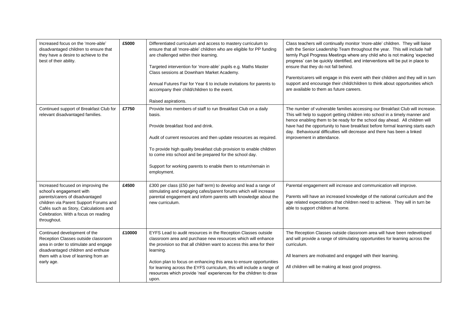| Increased focus on the 'more-able'<br>disadvantaged children to ensure that<br>they have a desire to achieve to the<br>best of their ability.                                                                                               | £5000  | Differentiated curriculum and access to mastery curriculum to<br>ensure that all 'more-able' children who are eligible for PP funding<br>are challenged within their learning.<br>Targeted intervention for 'more-able' pupils e.g. Maths Master<br>Class sessions at Downham Market Academy.<br>Annual Futures Fair for Year 6 to include invitations for parents to<br>accompany their child/children to the event.<br>Raised aspirations.        | Class teachers will continually monitor 'more-able' children. They will liaise<br>with the Senior Leadership Team throughout the year. This will include half<br>termly Pupil Progress Meetings where any child who is not making 'expected<br>progress' can be quickly identified, and interventions will be put in place to<br>ensure that they do not fall behind.<br>Parents/carers will engage in this event with their children and they will in turn<br>support and encourage their child/children to think about opportunities which<br>are available to them as future careers. |
|---------------------------------------------------------------------------------------------------------------------------------------------------------------------------------------------------------------------------------------------|--------|-----------------------------------------------------------------------------------------------------------------------------------------------------------------------------------------------------------------------------------------------------------------------------------------------------------------------------------------------------------------------------------------------------------------------------------------------------|------------------------------------------------------------------------------------------------------------------------------------------------------------------------------------------------------------------------------------------------------------------------------------------------------------------------------------------------------------------------------------------------------------------------------------------------------------------------------------------------------------------------------------------------------------------------------------------|
| Continued support of Breakfast Club for<br>relevant disadvantaged families.                                                                                                                                                                 | £7750  | Provide two members of staff to run Breakfast Club on a daily<br>basis.<br>Provide breakfast food and drink.<br>Audit of current resources and then update resources as required.<br>To provide high quality breakfast club provision to enable children<br>to come into school and be prepared for the school day.<br>Support for working parents to enable them to return/remain in<br>employment.                                                | The number of vulnerable families accessing our Breakfast Club will increase.<br>This will help to support getting children into school in a timely manner and<br>hence enabling them to be ready for the school day ahead. All children will<br>have had the opportunity to have breakfast before formal learning starts each<br>day. Behavioural difficulties will decrease and there has been a linked<br>improvement in attendance.                                                                                                                                                  |
| Increased focused on improving the<br>school's engagement with<br>parents/carers of disadvantaged<br>children via Parent Support Forums and<br>Cafés such as Story, Calculations and<br>Celebration. With a focus on reading<br>throughout. | £4500  | £300 per class (£50 per half term) to develop and lead a range of<br>stimulating and engaging cafes/parent forums which will increase<br>parental engagement and inform parents with knowledge about the<br>new curriculum.                                                                                                                                                                                                                         | Parental engagement will increase and communication will improve.<br>Parents will have an increased knowledge of the national curriculum and the<br>age related expectations that children need to achieve. They will in turn be<br>able to support children at home.                                                                                                                                                                                                                                                                                                                    |
| Continued development of the<br>Reception Classes outside classroom<br>area in order to stimulate and engage<br>disadvantaged children and enthuse<br>them with a love of learning from an<br>early age.                                    | £10000 | EYFS Lead to audit resources in the Reception Classes outside<br>classroom area and purchase new resources which will enhance<br>the provision so that all children want to access this area for their<br>learning.<br>Action plan to focus on enhancing this area to ensure opportunities<br>for learning across the EYFS curriculum, this will include a range of<br>resources which provide 'real' experiences for the children to draw<br>upon. | The Reception Classes outside classroom area will have been redeveloped<br>and will provide a range of stimulating opportunities for learning across the<br>curriculum.<br>All learners are motivated and engaged with their learning.<br>All children will be making at least good progress.                                                                                                                                                                                                                                                                                            |